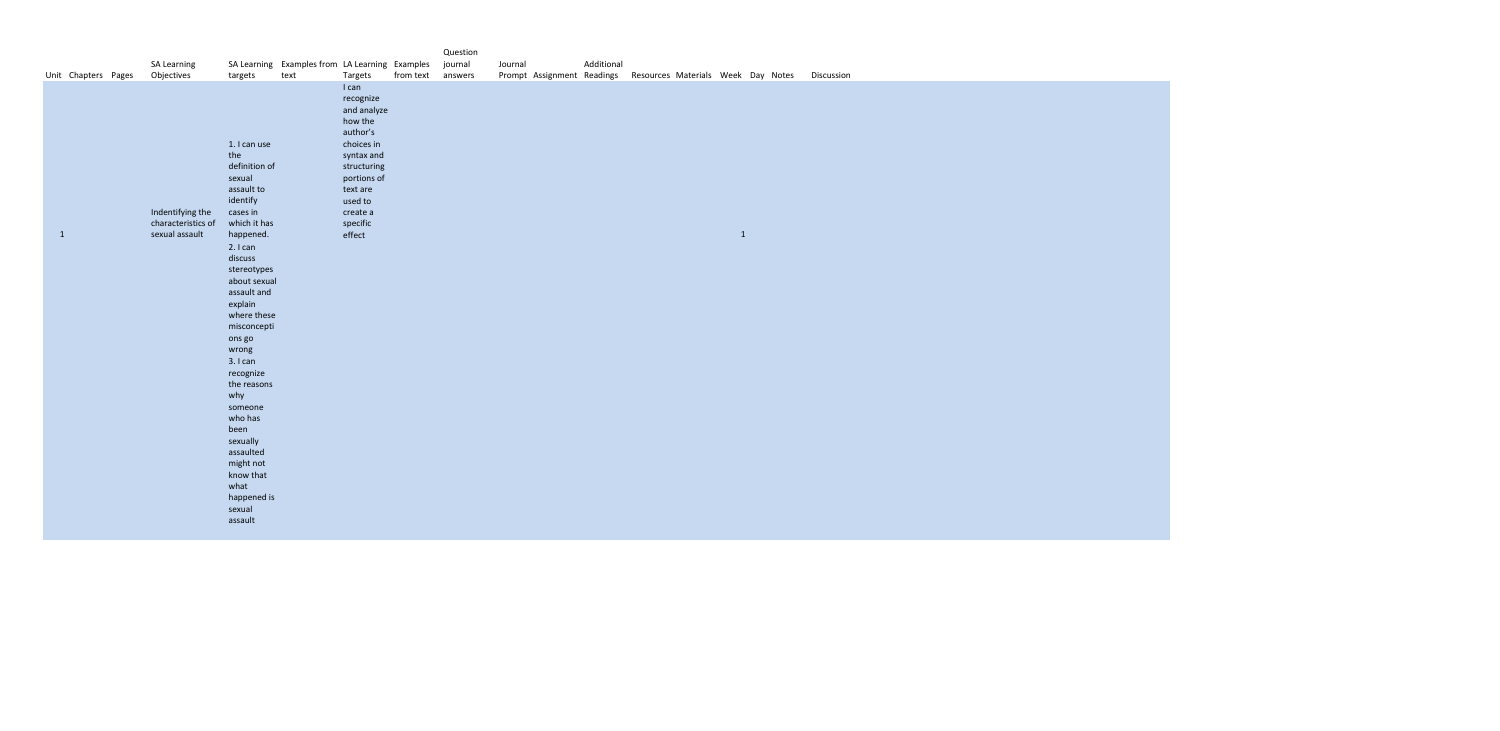|              |                     |                                                          |                                                                                                                                                                                                                                                                                                                                                                                                                               |                                                        |                                                                                                                                                                             |           | Question           |         |                            |            |                                |              |  |
|--------------|---------------------|----------------------------------------------------------|-------------------------------------------------------------------------------------------------------------------------------------------------------------------------------------------------------------------------------------------------------------------------------------------------------------------------------------------------------------------------------------------------------------------------------|--------------------------------------------------------|-----------------------------------------------------------------------------------------------------------------------------------------------------------------------------|-----------|--------------------|---------|----------------------------|------------|--------------------------------|--------------|--|
|              | Unit Chapters Pages | SA Learning<br>Objectives                                | targets                                                                                                                                                                                                                                                                                                                                                                                                                       | SA Learning Examples from LA Learning Examples<br>text | Targets                                                                                                                                                                     | from text | journal<br>answers | Journal | Prompt Assignment Readings | Additional | Resources Materials Week Day N |              |  |
| $\mathbf{1}$ |                     | Indentifying the<br>characteristics of<br>sexual assault | 1. I can use<br>the<br>definition of<br>sexual<br>assault to<br>identify<br>cases in<br>which it has<br>happened.<br>2.1 can<br>discuss<br>stereotypes<br>about sexual<br>assault and<br>explain<br>where these<br>misconcepti<br>ons go<br>wrong<br>3. I can<br>recognize<br>the reasons<br>why<br>someone<br>who has<br>been<br>sexually<br>assaulted<br>might not<br>know that<br>what<br>happened is<br>sexual<br>assault |                                                        | I can<br>recognize<br>and analyze<br>how the<br>author's<br>choices in<br>syntax and<br>structuring<br>portions of<br>text are<br>used to<br>create a<br>specific<br>effect |           |                    |         |                            |            |                                | $\mathbf{1}$ |  |

Notes Discussion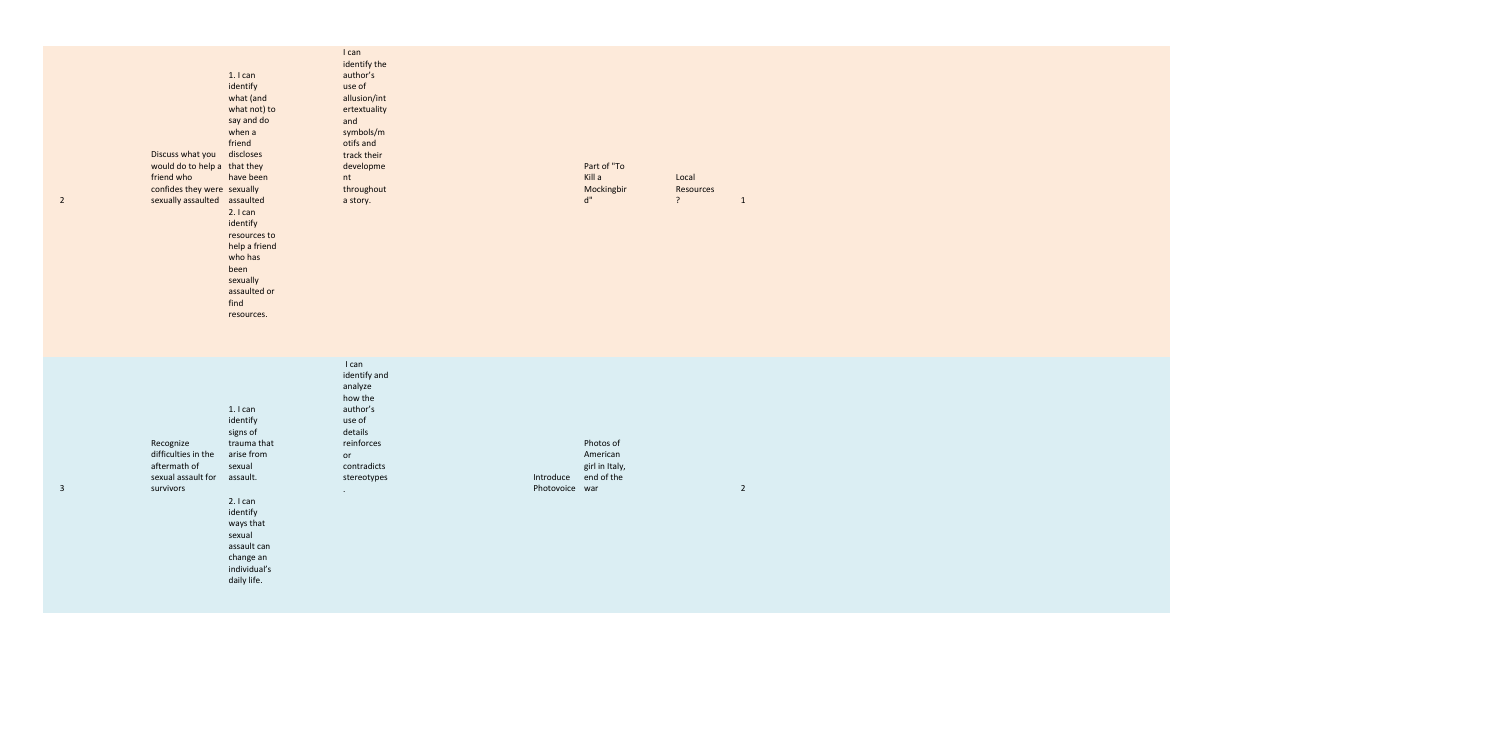2

| Discuss what you<br>would do to help a that they<br>friend who<br>confides they were sexually<br>sexually assaulted | $1.1$ can<br>identify<br>what (and<br>what not) to<br>say and do<br>when a<br>friend<br>discloses<br>have been<br>assaulted<br>2.1 can<br>identify<br>resources to<br>help a friend<br>who has<br>been<br>sexually<br>assaulted or<br>find<br>resources. | I can<br>identify the<br>author's<br>use of<br>allusion/int<br>ertextuality<br>and<br>symbols/m<br>otifs and<br>track their<br>developme<br>nt<br>throughout<br>a story. |                             | Part of "To<br>Kill a<br>Mockingbir<br>d"             | Local<br>Resources<br>? | $\mathbf{1}$   |
|---------------------------------------------------------------------------------------------------------------------|----------------------------------------------------------------------------------------------------------------------------------------------------------------------------------------------------------------------------------------------------------|--------------------------------------------------------------------------------------------------------------------------------------------------------------------------|-----------------------------|-------------------------------------------------------|-------------------------|----------------|
| Recognize<br>difficulties in the<br>aftermath of<br>sexual assault for<br>survivors                                 | $1.1$ can<br>identify<br>signs of<br>trauma that<br>arise from<br>sexual<br>assault.<br>2.1 can<br>identify<br>ways that<br>sexual<br>assault can<br>change an<br>individual's<br>daily life.                                                            | I can<br>identify and<br>analyze<br>how the<br>author's<br>use of<br>details<br>reinforces<br>or<br>contradicts<br>stereotypes<br>$\bullet$                              | Introduce<br>Photovoice war | Photos of<br>American<br>girl in Italy,<br>end of the |                         | $\overline{2}$ |

3

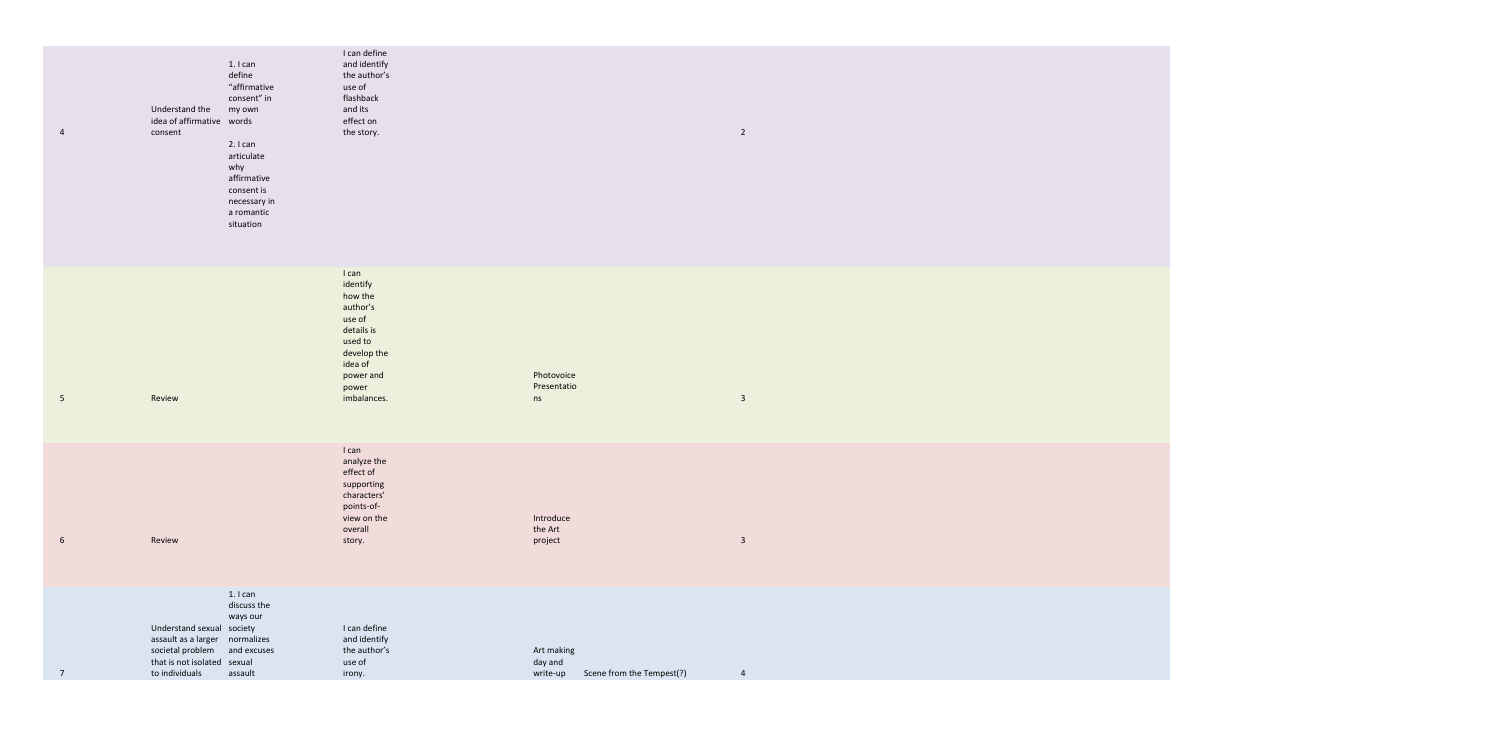| 4              | Understand the<br>idea of affirmative words<br>consent                                                         | 1. I can<br>define<br>"affirmative<br>consent" in<br>my own<br>2.1 can<br>articulate<br>why<br>affirmative<br>consent is<br>necessary in<br>a romantic<br>situation | I can define<br>and identify<br>the author's<br>use of<br>flashback<br>and its<br>effect on<br>the story.                                  |                                   |                           | $\overline{2}$ |
|----------------|----------------------------------------------------------------------------------------------------------------|---------------------------------------------------------------------------------------------------------------------------------------------------------------------|--------------------------------------------------------------------------------------------------------------------------------------------|-----------------------------------|---------------------------|----------------|
| $5\phantom{.}$ | Review                                                                                                         |                                                                                                                                                                     | I can<br>identify<br>how the<br>author's<br>use of<br>details is<br>used to<br>develop the<br>idea of<br>power and<br>power<br>imbalances. | Photovoice<br>Presentatio<br>ns   |                           | $\mathbf{3}$   |
| 6              | Review                                                                                                         |                                                                                                                                                                     | I can<br>analyze the<br>effect of<br>supporting<br>characters'<br>points-of-<br>view on the<br>overall<br>story.                           | Introduce<br>the Art<br>project   |                           | $\overline{3}$ |
| $\overline{7}$ | Understand sexual society<br>assault as a larger<br>societal problem<br>that is not isolated<br>to individuals | 1. I can<br>discuss the<br>ways our<br>normalizes<br>and excuses<br>sexual<br>assault                                                                               | I can define<br>and identify<br>the author's<br>use of<br>irony.                                                                           | Art making<br>day and<br>write-up | Scene from the Tempest(?) | 4              |

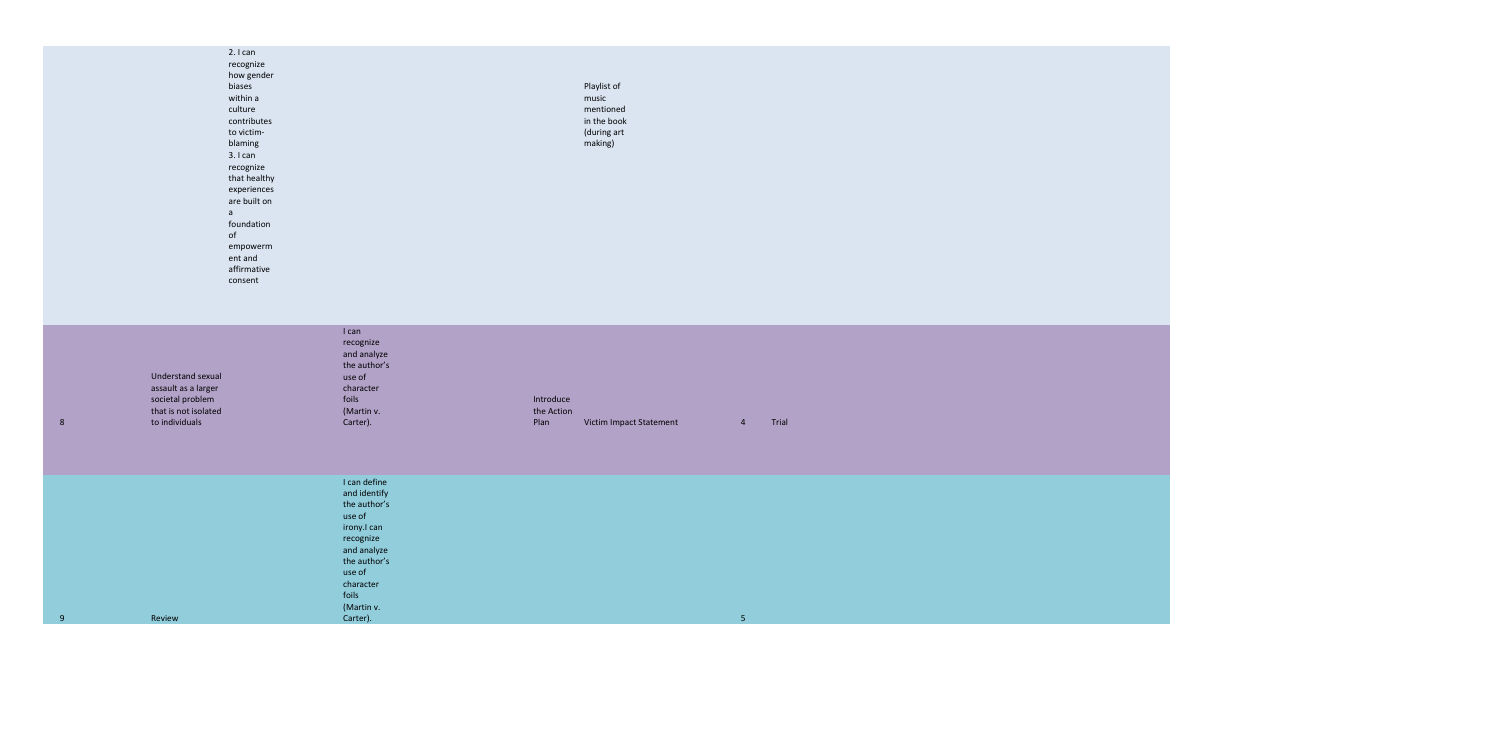Playlist of music mentioned in the book (during art making)

2. I can recognize how gender biases within a culture contributes to victimblaming 3. I can recognize that healthy experiences are built on a foundation of empowerm ent and affirmative consent

| 8 | Understand sexual<br>assault as a larger<br>societal problem<br>that is not isolated<br>to individuals | I can<br>recognize<br>and analyze<br>the author's<br>use of<br>character<br>foils<br>(Martin v.<br>Carter).                                                                 | Introduce<br>the Action<br>Plan | Victim Impact Statement | $\overline{4}$ | Trial |
|---|--------------------------------------------------------------------------------------------------------|-----------------------------------------------------------------------------------------------------------------------------------------------------------------------------|---------------------------------|-------------------------|----------------|-------|
| 9 | Review                                                                                                 | I can define<br>and identify<br>the author's<br>use of<br>irony.I can<br>recognize<br>and analyze<br>the author's<br>use of<br>character<br>foils<br>(Martin v.<br>Carter). |                                 |                         | 5 <sub>1</sub> |       |